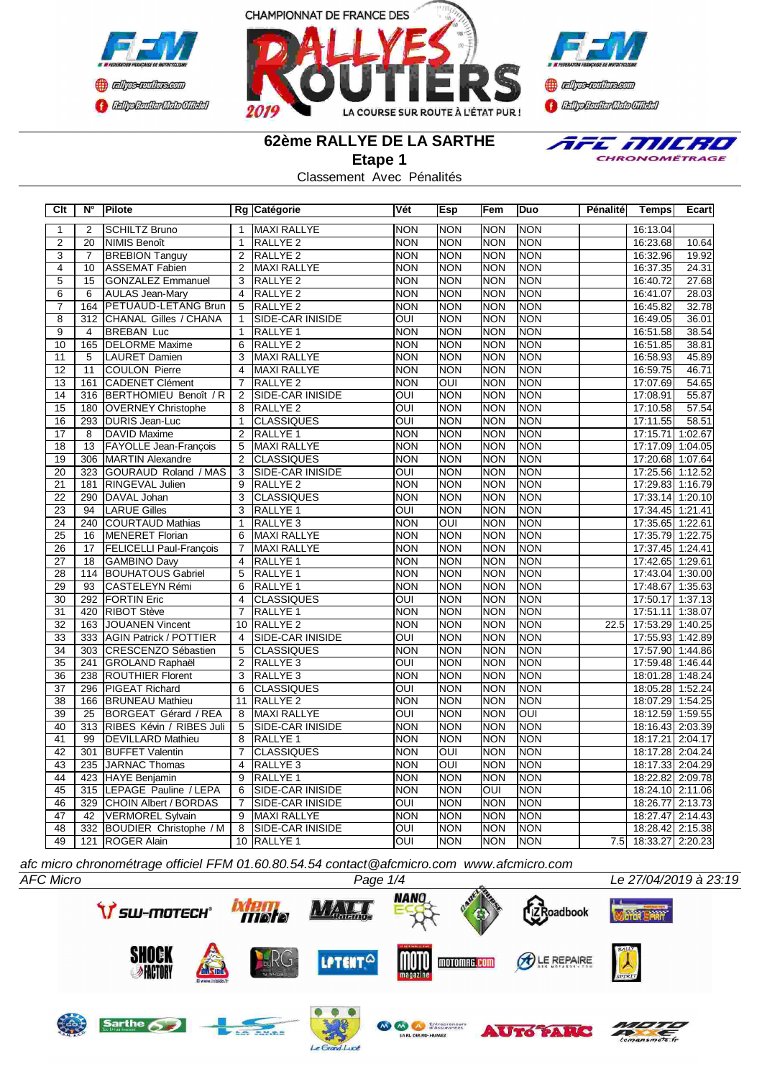





E MILRO CHRONOMÉTRAGE

# **62ème RALLYE DE LA SARTHE**

**Etape 1**

Classement Avec Pénalités

| Clt             | $N^{\circ}$      | Pilote                         |                 | Rg Catégorie            | Vét                     | <b>Esp</b>       | Fem              | <b>Duo</b>     | Pénalité | <b>Temps</b>         | Ecart   |
|-----------------|------------------|--------------------------------|-----------------|-------------------------|-------------------------|------------------|------------------|----------------|----------|----------------------|---------|
| $\mathbf{1}$    | $\overline{2}$   | <b>SCHILTZ Bruno</b>           | $\mathbf{1}$    | <b>MAXI RALLYE</b>      | <b>NON</b>              | <b>NON</b>       | <b>NON</b>       | <b>NON</b>     |          | 16:13.04             |         |
| $\overline{2}$  | 20               | <b>NIMIS Benoît</b>            | $\overline{1}$  | <b>RALLYE 2</b>         | <b>NON</b>              | <b>NON</b>       | <b>NON</b>       | <b>NON</b>     |          | 16:23.68             | 10.64   |
| $\overline{3}$  | $\overline{7}$   | <b>BREBION Tanguy</b>          | $\overline{2}$  | <b>RALLYE 2</b>         | <b>NON</b>              | <b>NON</b>       | <b>NON</b>       | <b>NON</b>     |          | 16:32.96             | 19.92   |
| 4               | $\overline{10}$  | <b>ASSEMAT Fabien</b>          | $\overline{2}$  | <b>MAXI RALLYE</b>      | <b>NON</b>              | NON              | <b>NON</b>       | <b>NON</b>     |          | 16:37.35             | 24.31   |
| $\overline{5}$  | $\overline{15}$  | <b>GONZALEZ Emmanuel</b>       | 3               | <b>RALLYE 2</b>         | <b>NON</b>              | <b>NON</b>       | <b>NON</b>       | <b>NON</b>     |          | 16:40.72             | 27.68   |
| $\overline{6}$  | $\overline{6}$   | <b>AULAS Jean-Mary</b>         | $\overline{4}$  | <b>RALLYE 2</b>         | <b>NON</b>              | <b>NON</b>       | <b>NON</b>       | <b>NON</b>     |          | 16:41.07             | 28.03   |
| $\overline{7}$  | 164              | PETUAUD-LETANG Brun            | 5               | RALLYE <sub>2</sub>     | <b>NON</b>              | <b>NON</b>       | <b>NON</b>       | <b>NON</b>     |          | 16:45.82             | 32.78   |
| $\overline{8}$  | 312              | CHANAL Gilles / CHANA          | $\mathbf{1}$    | <b>SIDE-CAR INISIDE</b> | $\overline{O}$          | <b>NON</b>       | <b>NON</b>       | <b>NON</b>     |          | 16:49.05             | 36.01   |
| $\overline{9}$  | 4                | <b>BREBAN Luc</b>              | $\overline{1}$  | <b>RALLYE 1</b>         | <b>NON</b>              | <b>INON</b>      | <b>NON</b>       | <b>NON</b>     |          | 16:51.58             | 38.54   |
| 10              | 165              | <b>DELORME Maxime</b>          | 6               | RALLYE <sub>2</sub>     | <b>NON</b>              | <b>NON</b>       | <b>NON</b>       | <b>NON</b>     |          | 16:51.85             | 38.81   |
| 11              | 5                | <b>LAURET Damien</b>           | 3               | <b>MAXI RALLYE</b>      | <b>NON</b>              | <b>NON</b>       | <b>NON</b>       | <b>NON</b>     |          | 16:58.93             | 45.89   |
| 12              | 11               | <b>COULON Pierre</b>           | $\overline{4}$  | <b>MAXI RALLYE</b>      | <b>NON</b>              | <b>NON</b>       | <b>NON</b>       | <b>NON</b>     |          | 16:59.75             | 46.71   |
| $\overline{13}$ | 161              | <b>CADENET Clément</b>         | $\overline{7}$  | <b>RALLYE 2</b>         | <b>NON</b>              | OUI              | NON              | <b>NON</b>     |          | 17:07.69             | 54.65   |
| 14              | 316              | BERTHOMIEU Benoît / R          | $\overline{2}$  | <b>SIDE-CAR INISIDE</b> | $\overline{O}$          | NON              | <b>NON</b>       | <b>NON</b>     |          | 17:08.91             | 55.87   |
| $\overline{15}$ | 180              | <b>OVERNEY Christophe</b>      | 8               | <b>RALLYE 2</b>         | $\overline{\text{OUI}}$ | <b>NON</b>       | <b>NON</b>       | <b>NON</b>     |          | 17:10.58             | 57.54   |
| $\overline{16}$ | 293              | DURIS Jean-Luc                 | $\mathbf{1}$    | <b>CLASSIQUES</b>       | $\overline{OUI}$        | NON              | <b>NON</b>       | <b>NON</b>     |          | 17:11.55             | 58.51   |
| 17              | 8                | <b>DAVID Maxime</b>            | 2               | <b>RALLYE 1</b>         | <b>NON</b>              | Inon             | <b>NON</b>       | <b>NON</b>     |          | 17:15.71             | 1:02.67 |
| $\overline{18}$ | $\overline{13}$  | <b>FAYOLLE Jean-François</b>   | $\overline{5}$  | <b>MAXI RALLYE</b>      | <b>NON</b>              | NON              | NON              | <b>NON</b>     |          | 17:17.09             | 1:04.05 |
| 19              | 306              | MARTIN Alexandre               | $\overline{2}$  | <b>CLASSIQUES</b>       | <b>NON</b>              | <b>INON</b>      | NON              | <b>NON</b>     |          | 17:20.68             | 1:07.64 |
| 20              | 323              | <b>GOURAUD Roland / MAS</b>    | 3               | SIDE-CAR INISIDE        | OUI                     | <b>NON</b>       | <b>NON</b>       | <b>NON</b>     |          | 17:25.56             | 1:12.52 |
| $\overline{21}$ | 181              | <b>RINGEVAL Julien</b>         | 9               | <b>RALLYE 2</b>         | <b>NON</b>              | <b>INON</b>      | <b>NON</b>       | <b>NON</b>     |          | 17:29.83             | 1:16.79 |
| 22              | 290              | DAVAL Johan                    | $\overline{3}$  | <b>CLASSIQUES</b>       | <b>NON</b>              | <b>NON</b>       | <b>NON</b>       | <b>NON</b>     |          | 17:33.14             | 1:20.10 |
| 23              | 94               | <b>LARUE Gilles</b>            | $\overline{3}$  | <b>RALLYE 1</b>         | OUI                     | <b>NON</b>       | <b>NON</b>       | <b>NON</b>     |          | 17:34.45             | 1:21.41 |
| $\overline{24}$ | 240              | <b>COURTAUD Mathias</b>        | $\mathbf{1}$    | RALLYE <sub>3</sub>     | <b>NON</b>              | $\overline{OUI}$ | <b>NON</b>       | <b>NON</b>     |          | 17:35.65             | 1:22.61 |
| $\overline{25}$ | 16               | MENERET Florian                | 6               | <b>MAXI RALLYE</b>      | <b>NON</b>              | <b>NON</b>       | <b>NON</b>       | <b>NON</b>     |          | 17:35.79 1:22.75     |         |
| $\overline{26}$ | $\overline{17}$  | <b>FELICELLI Paul-François</b> | $\overline{7}$  | <b>MAXI RALLYE</b>      | <b>NON</b>              | NON              | NON              | <b>NON</b>     |          | 17:37.45 1:24.41     |         |
| $\overline{27}$ | 18               | <b>GAMBINO Davy</b>            | $\overline{4}$  | RALLYE <sub>1</sub>     | <b>NON</b>              | <b>NON</b>       | Inon             | <b>NON</b>     |          | 17:42.65 1:29.61     |         |
| 28              | 114              | <b>BOUHATOUS Gabriel</b>       | 5               | RALLYE <sub>1</sub>     | <b>NON</b>              | <b>NON</b>       | <b>NON</b>       | <b>NON</b>     |          | 17:43.04 1:30.00     |         |
| 29              | 93               | CASTELEYN Rémi                 | 6               | RALLYE <sub>1</sub>     | <b>NON</b>              | <b>NON</b>       | <b>NON</b>       | <b>NON</b>     |          | 17:48.67 1:35.63     |         |
| 30              | 292              | <b>FORTIN Eric</b>             | $\overline{4}$  | <b>CLASSIQUES</b>       | OUI                     | NON              | <b>NON</b>       | <b>NON</b>     |          | 17:50.17 1:37.13     |         |
| 31              | 420              | <b>RIBOT Stève</b>             | $\overline{7}$  | <b>RALLYE 1</b>         | <b>NON</b>              | NON              | <b>NON</b>       | <b>NON</b>     |          | 17:51.11 1:38.07     |         |
| $\overline{32}$ | 163              | JOUANEN Vincent                | 10 <sup>1</sup> | <b>RALLYE 2</b>         | <b>NON</b>              | NON              | NON              | <b>NON</b>     | 22.5     | 17:53.29 1:40.25     |         |
| 33              | 333              | <b>AGIN Patrick / POTTIER</b>  | $\overline{4}$  | SIDE-CAR INISIDE        | $\overline{O}$          | NON              | <b>NON</b>       | <b>NON</b>     |          | 17:55.93 1:42.89     |         |
| $\overline{34}$ | 303              | CRESCENZO Sébastien            | 5               | <b>CLASSIQUES</b>       | <b>NON</b>              | NON              | <b>NON</b>       | <b>NON</b>     |          | 17:57.90 1:44.86     |         |
| $\overline{35}$ | 241              | <b>GROLAND Raphaël</b>         | $\overline{2}$  | RALLYE <sub>3</sub>     | $\overline{OUI}$        | NON              | <b>NON</b>       | <b>NON</b>     |          | 17:59.48 1:46.44     |         |
| 36              | 238              | <b>ROUTHIER Florent</b>        | $\overline{3}$  | RALLYE <sub>3</sub>     | <b>NON</b>              | <b>NON</b>       | <b>NON</b>       | <b>NON</b>     |          | 18:01.28 1:48.24     |         |
| 37              | 296              | <b>PIGEAT Richard</b>          | 6               | <b>CLASSIQUES</b>       | OUI                     | <b>NON</b>       | <b>NON</b>       | <b>NON</b>     |          | 18:05.28             | 1:52.24 |
| $\overline{38}$ | 166              | <b>BRUNEAU Mathieu</b>         | 11              | <b>RALLYE 2</b>         | <b>NON</b>              | <b>NON</b>       | <b>NON</b>       | <b>NON</b>     |          | 18:07.29             | 1:54.25 |
| 39              | $\overline{25}$  | <b>BORGEAT Gérard / REA</b>    | 8               | <b>MAXI RALLYE</b>      | $\overline{\text{OUI}}$ | <b>NON</b>       | <b>NON</b>       | $\overline{O}$ |          | 18:12.59             | 1:59.55 |
| 40              | $\overline{313}$ | RIBES Kévin / RIBES Juli       | $\overline{5}$  | <b>SIDE-CAR INISIDE</b> | <b>NON</b>              | <b>INON</b>      | <b>NON</b>       | <b>NON</b>     |          | 18:16.43             | 2:03.39 |
| 41              | 99               | <b>DEVILLARD Mathieu</b>       | 8               | RALLYE <sub>1</sub>     | <b>NON</b>              | <b>NON</b>       | <b>NON</b>       | <b>NON</b>     |          | 18:17.21 2:04.17     |         |
| 42              | 301              | <b>BUFFET Valentin</b>         | $\overline{7}$  | <b>CLASSIQUES</b>       | <b>NON</b>              | $\overline{OUI}$ | <b>NON</b>       | <b>NON</b>     |          | 18:17.28             | 2:04.24 |
| 43              | 235              | JARNAC Thomas                  | $\overline{4}$  | <b>RALLYE 3</b>         | <b>NON</b>              | OUI              | <b>NON</b>       | <b>NON</b>     |          | 18:17.33             | 2:04.29 |
| $\overline{44}$ | 423              | HAYE Benjamin                  | 9               | <b>RALLYE 1</b>         | <b>NON</b>              | NON              | <b>NON</b>       | <b>NON</b>     |          | 18:22.82             | 2:09.78 |
| $\overline{45}$ |                  | 315 LEPAGE Pauline / LEPA      | 6               | <b>SIDE-CAR INISIDE</b> | <b>NON</b>              | NON              | $\overline{OUI}$ | <b>NON</b>     |          | 18:24.10 2:11.06     |         |
| 46              | 329              | <b>CHOIN Albert / BORDAS</b>   | $\overline{7}$  | <b>SIDE-CAR INISIDE</b> | $\overline{O}$          | <b>NON</b>       | <b>NON</b>       | <b>NON</b>     |          | 18:26.77             | 2:13.73 |
| 47              | 42               | <b>VERMOREL Sylvain</b>        | 9               | MAXI RALLYE             | <b>NON</b>              | <b>NON</b>       | <b>NON</b>       | <b>NON</b>     |          | 18:27.47 2:14.43     |         |
| 48              |                  | 332 BOUDIER Christophe / M     | $\overline{8}$  | <b>SIDE-CAR INISIDE</b> | OUI                     | <b>NON</b>       | NON              | <b>NON</b>     |          | 18:28.42 2:15.38     |         |
| 49              |                  | 121 ROGER Alain                |                 | 10 RALLYE 1             | OUI                     | NON              | <b>NON</b>       | <b>NON</b>     |          | 7.5 18:33.27 2:20.23 |         |

*afc micro chronométrage officiel FFM 01.60.80.54.54 contact@afcmicro.com www.afcmicro.com*

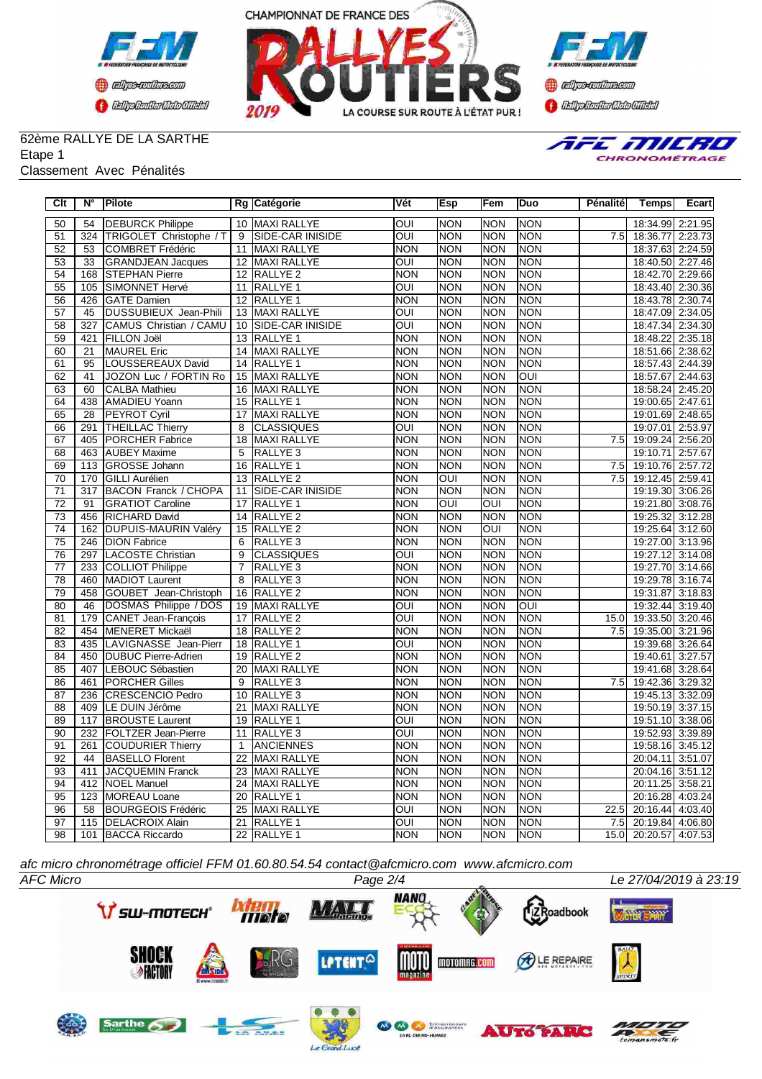





## 62ème RALLYE DE LA SARTHE Etape 1

### Classement Avec Pénalités



| Clt             | $\overline{\mathsf{N}^{\circ}}$ | <b>Pilote</b>                |                 | Rg Catégorie            | Vét                     | <b>Esp</b> | lFem                    | Duo        | <b>Pénalité</b> | <b>Temps</b>     | Ecart   |
|-----------------|---------------------------------|------------------------------|-----------------|-------------------------|-------------------------|------------|-------------------------|------------|-----------------|------------------|---------|
| 50              | 54                              | <b>DEBURCK Philippe</b>      |                 | 10 MAXI RALLYE          | <b>OUI</b>              | <b>NON</b> | <b>NON</b>              | <b>NON</b> |                 | 18:34.99 2:21.95 |         |
| 51              |                                 | 324 TRIGOLET Christophe / T  | 9               | <b>SIDE-CAR INISIDE</b> | $\overline{OUI}$        | <b>NON</b> | <b>NON</b>              | <b>NON</b> | 7.5             | 18:36.77 2:23.73 |         |
| 52              | $\overline{53}$                 | <b>COMBRET Frédéric</b>      | 11              | <b>MAXI RALLYE</b>      | <b>NON</b>              | <b>NON</b> | <b>NON</b>              | <b>NON</b> |                 | 18:37.63 2:24.59 |         |
| 53              | 33                              | <b>GRANDJEAN Jacques</b>     | 12              | MAXI RALLYE             | $\overline{\text{OUI}}$ | <b>NON</b> | <b>NON</b>              | <b>NON</b> |                 | 18:40.50 2:27.46 |         |
| 54              | 168                             | <b>STEPHAN Pierre</b>        | $\overline{12}$ | <b>RALLYE 2</b>         | <b>NON</b>              | <b>NON</b> | <b>NON</b>              | <b>NON</b> |                 | 18:42.70 2:29.66 |         |
| 55              | 105                             | SIMONNET Hervé               | 11              | RALLYE 1                | OUI                     | <b>NON</b> | <b>NON</b>              | <b>NON</b> |                 | 18:43.40 2:30.36 |         |
| 56              | 426                             | <b>GATE Damien</b>           | 12 <sup>2</sup> | RALLYE <sub>1</sub>     | <b>NON</b>              | <b>NON</b> | <b>NON</b>              | <b>NON</b> |                 | 18:43.78 2:30.74 |         |
| 57              | 45                              | <b>DUSSUBIEUX Jean-Phili</b> | 13              | <b>MAXI RALLYE</b>      | OUI                     | <b>NON</b> | <b>NON</b>              | <b>NON</b> |                 | 18:47.09 2:34.05 |         |
| 58              | 327                             | CAMUS Christian / CAMU       | 10 <sup>1</sup> | SIDE-CAR INISIDE        | OUI                     | <b>NON</b> | <b>NON</b>              | <b>NON</b> |                 | 18:47.34 2:34.30 |         |
| 59              | 421                             | <b>FILLON Joël</b>           | $\overline{13}$ | <b>RALLYE 1</b>         | <b>NON</b>              | <b>NON</b> | <b>NON</b>              | <b>NON</b> |                 | 18:48.22         | 2:35.18 |
| 60              | $\overline{21}$                 | <b>MAUREL Eric</b>           |                 | 14 MAXI RALLYE          | <b>NON</b>              | NON        | <b>NON</b>              | <b>NON</b> |                 | 18:51.66 2:38.62 |         |
| 61              | 95                              | LOUSSEREAUX David            | 14              | RALLYE <sub>1</sub>     | <b>NON</b>              | NON        | <b>NON</b>              | <b>NON</b> |                 | 18:57.43 2:44.39 |         |
| 62              | 41                              | JOZON Luc / FORTIN Ro        | 15              | <b>MAXI RALLYE</b>      | <b>NON</b>              | <b>NON</b> | <b>NON</b>              | OUI        |                 | 18:57.67 2:44.63 |         |
| 63              | 60                              | <b>CALBA Mathieu</b>         | 16              | <b>MAXI RALLYE</b>      | <b>NON</b>              | NON        | <b>NON</b>              | <b>NON</b> |                 | 18:58.24 2:45.20 |         |
| 64              | 438                             | <b>AMADIEU Yoann</b>         | 15              | <b>RALLYE 1</b>         | <b>NON</b>              | <b>NON</b> | <b>NON</b>              | <b>NON</b> |                 | 19:00.65 2:47.61 |         |
| 65              | 28                              | <b>PEYROT Cyril</b>          | 17              | <b>MAXI RALLYE</b>      | <b>NON</b>              | <b>NON</b> | <b>NON</b>              | <b>NON</b> |                 | 19:01.69 2:48.65 |         |
| 66              | 291                             | <b>THEILLAC Thierry</b>      | 8               | <b>CLASSIQUES</b>       | OUI                     | <b>NON</b> | <b>NON</b>              | <b>NON</b> |                 | 19:07.01 2:53.97 |         |
| 67              | 405                             | <b>PORCHER Fabrice</b>       | 18              | <b>MAXI RALLYE</b>      | <b>NON</b>              | <b>NON</b> | <b>NON</b>              | <b>NON</b> | 7.5             | 19:09.24 2:56.20 |         |
| 68              | 463                             | <b>AUBEY Maxime</b>          | 5               | RALLYE <sub>3</sub>     | <b>NON</b>              | <b>NON</b> | <b>NON</b>              | <b>NON</b> |                 | 19:10.71 2:57.67 |         |
| 69              | 113                             | <b>GROSSE Johann</b>         | 16              | <b>RALLYE 1</b>         | <b>NON</b>              | <b>NON</b> | <b>NON</b>              | <b>NON</b> | 7.5             | 19:10.76 2:57.72 |         |
| 70              | 170                             | <b>GILLI Aurélien</b>        | 13              | <b>RALLYE 2</b>         | <b>NON</b>              | OUI        | <b>NON</b>              | <b>NON</b> | 7.5             | 19:12.45 2:59.41 |         |
| 71              | $\overline{317}$                | <b>BACON Franck / CHOPA</b>  | 11              | SIDE-CAR INISIDE        | <b>NON</b>              | <b>NON</b> | <b>NON</b>              | <b>NON</b> |                 | 19:19.30 3:06.26 |         |
| $\overline{72}$ | 91                              | <b>GRATIOT Caroline</b>      | 17              | RALLYE <sub>1</sub>     | <b>NON</b>              | OUI        | OUI                     | <b>NON</b> |                 | 19:21.80 3:08.76 |         |
| 73              | 456                             | <b>RICHARD David</b>         | 14              | RALLYE <sub>2</sub>     | <b>NON</b>              | <b>NON</b> | <b>NON</b>              | <b>NON</b> |                 | 19:25.32 3:12.28 |         |
| $\overline{74}$ | 162                             | <b>DUPUIS-MAURIN Valéry</b>  | $\overline{15}$ | <b>RALLYE 2</b>         | <b>NON</b>              | <b>NON</b> | $\overline{\text{OUI}}$ | <b>NON</b> |                 | 19:25.64         | 3:12.60 |
| 75              | 246                             | <b>DION Fabrice</b>          | 6               | RALLYE <sub>3</sub>     | <b>NON</b>              | <b>NON</b> | <b>NON</b>              | <b>NON</b> |                 | 19:27.00 3:13.96 |         |
| 76              | 297                             | LACOSTE Christian            | $\overline{9}$  | <b>CLASSIQUES</b>       | ОUІ                     | <b>NON</b> | <b>NON</b>              | <b>NON</b> |                 | 19:27.12 3:14.08 |         |
| $\overline{77}$ | 233                             | COLLIOT Philippe             | $\overline{7}$  | <b>RALLYE 3</b>         | <b>NON</b>              | <b>NON</b> | <b>NON</b>              | <b>NON</b> |                 | 19:27.70 3:14.66 |         |
| 78              | 460                             | MADIOT Laurent               | $\overline{8}$  | RALLYE <sub>3</sub>     | <b>NON</b>              | NON        | <b>NON</b>              | <b>NON</b> |                 | 19:29.78 3:16.74 |         |
| 79              | 458                             | GOUBET Jean-Christoph        | 16              | <b>RALLYE 2</b>         | <b>NON</b>              | <b>NON</b> | <b>NON</b>              | <b>NON</b> |                 | 19:31.87         | 3:18.83 |
| 80              | $\overline{46}$                 | DOSMAS Philippe / DOS        | 19              | <b>MAXI RALLYE</b>      | $\overline{O}$          | <b>NON</b> | <b>NON</b>              | OUI        |                 | 19:32.44         | 3:19.40 |
| 81              | 179                             | CANET Jean-François          | 17              | RALLYE <sub>2</sub>     | $\overline{OUI}$        | <b>NON</b> | <b>NON</b>              | <b>NON</b> | 15.0            | 19:33.50 3:20.46 |         |
| 82              | 454                             | MENERET Mickaël              | 18              | RALLYE <sub>2</sub>     | <b>NON</b>              | NON        | <b>NON</b>              | <b>NON</b> | 7.5             | 19:35.00 3:21.96 |         |
| 83              | 435                             | LAVIGNASSE Jean-Pierr        | 18              | RALLYE <sub>1</sub>     | OUI                     | <b>NON</b> | <b>NON</b>              | <b>NON</b> |                 | 19:39.68 3:26.64 |         |
| 84              | 450                             | DUBUC Pierre-Adrien          | 19              | RALLYE <sub>2</sub>     | <b>NON</b>              | <b>NON</b> | <b>NON</b>              | <b>NON</b> |                 | 19:40.61         | 3:27.57 |
| 85              | 407                             | LEBOUC Sébastien             | 20              | <b>MAXI RALLYE</b>      | <b>NON</b>              | <b>NON</b> | <b>NON</b>              | <b>NON</b> |                 | 19:41.68 3:28.64 |         |
| 86              | 461                             | <b>PORCHER Gilles</b>        | 9               | <b>RALLYE3</b>          | <b>NON</b>              | <b>NON</b> | Inon                    | <b>NON</b> | 7.5             | 19:42.36 3:29.32 |         |
| 87              | 236                             | CRESCENCIO Pedro             | 10              | <b>RALLYE 3</b>         | <b>NON</b>              | <b>NON</b> | <b>NON</b>              | <b>NON</b> |                 | 19:45.13 3:32.09 |         |
| 88              | 409                             | LE DUIN Jérôme               | 21              | <b>MAXI RALLYE</b>      | <b>NON</b>              | <b>NON</b> | <b>NON</b>              | <b>NON</b> |                 | 19:50.19 3:37.15 |         |
| 89              | 117                             | <b>BROUSTE Laurent</b>       | $\overline{19}$ | <b>RALLYE 1</b>         | OUI                     | <b>NON</b> | <b>NON</b>              | <b>NON</b> |                 | 19:51.10 3:38.06 |         |
| 90              | 232                             | <b>FOLTZER Jean-Pierre</b>   | 11              | <b>RALLYE 3</b>         | $\overline{OUI}$        | NON        | <b>NON</b>              | <b>NON</b> |                 | 19:52.93 3:39.89 |         |
| $\overline{91}$ | 261                             | COUDURIER Thierry            | $\mathbf{1}$    | <b>ANCIENNES</b>        | <b>NON</b>              | <b>NON</b> | <b>NON</b>              | <b>NON</b> |                 | 19:58.16 3:45.12 |         |
| 92              | 44                              | <b>BASELLO Florent</b>       | 22              | <b>MAXI RALLYE</b>      | <b>NON</b>              | NON        | <b>NON</b>              | <b>NON</b> |                 | 20:04.11         | 3:51.07 |
| 93              | 411                             | <b>JACQUEMIN Franck</b>      | 23              | <b>MAXI RALLYE</b>      | <b>NON</b>              | <b>NON</b> | <b>NON</b>              | <b>NON</b> |                 | 20:04.16 3:51.12 |         |
| $\overline{94}$ | 412                             | <b>NOEL Manuel</b>           | 24              | <b>MAXI RALLYE</b>      | <b>NON</b>              | <b>NON</b> | <b>NON</b>              | <b>NON</b> |                 | 20:11.25 3:58.21 |         |
| 95              | 123                             | MOREAU Loane                 | 20              | RALLYE <sub>1</sub>     | <b>NON</b>              | <b>NON</b> | <b>NON</b>              | <b>NON</b> |                 | 20:16.28         | 4:03.24 |
| 96              | 58                              | BOURGEOIS Frédéric           | 25              | <b>MAXI RALLYE</b>      | OUI                     | <b>NON</b> | <b>NON</b>              | <b>NON</b> | 22.5            | 20:16.44         | 4:03.40 |
| 97              | 115                             | <b>DELACROIX Alain</b>       | $\overline{21}$ | RALLYE <sub>1</sub>     | OUI                     | <b>NON</b> | <b>NON</b>              | <b>NON</b> | 7.5             | 20:19.84 4:06.80 |         |
| 98              |                                 | 101 BACCA Riccardo           |                 | 22 RALLYE 1             | <b>NON</b>              | NON        | <b>NON</b>              | <b>NON</b> | 15.0            | 20:20.57 4:07.53 |         |

*afc micro chronométrage officiel FFM 01.60.80.54.54 contact@afcmicro.com www.afcmicro.com*



Le Grand-Lucé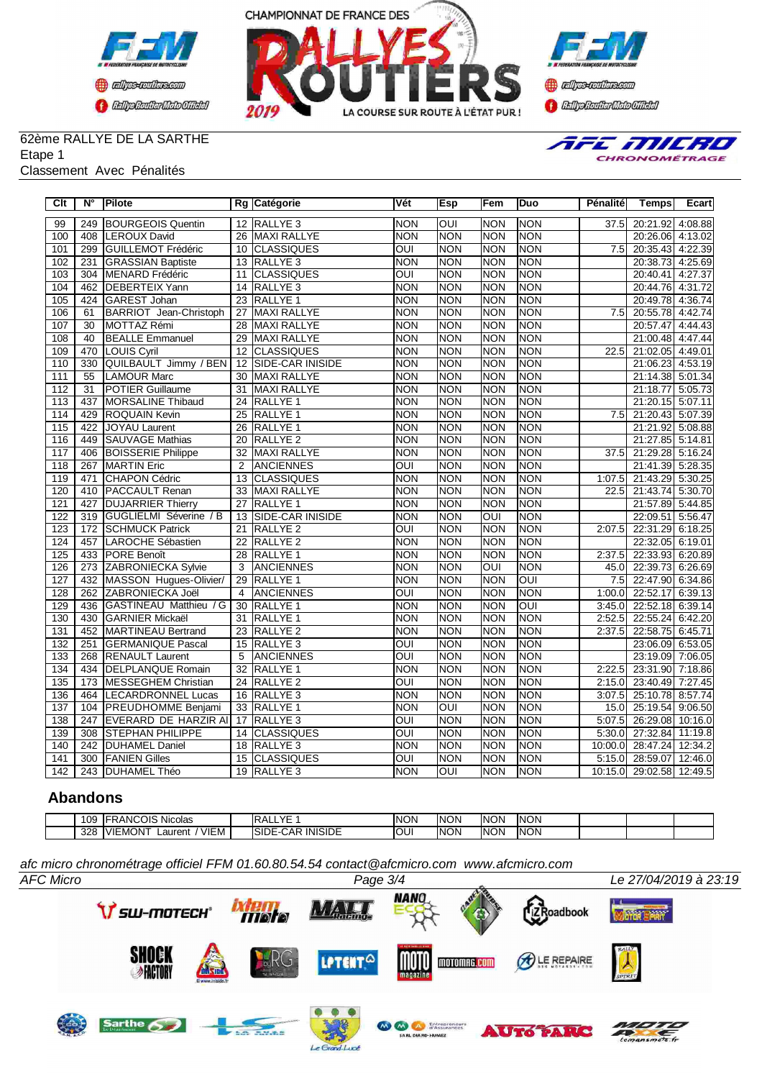





## 62ème RALLYE DE LA SARTHE Etape 1

### Classement Avec Pénalités



| Clt              | $N^{\circ}$      | <b>Pilote</b>              |                 | Rg Catégorie            | Vét                     | Esp         | Fem        | Duo        | Pénalité         | <b>Temps</b>     | Ecart   |
|------------------|------------------|----------------------------|-----------------|-------------------------|-------------------------|-------------|------------|------------|------------------|------------------|---------|
| 99               | 249              | <b>BOURGEOIS Quentin</b>   |                 | 12 RALLYE 3             | <b>NON</b>              | loui        | <b>NON</b> | <b>NON</b> | 37.5             | 20:21.92 4:08.88 |         |
| 100              | 408              | <b>LEROUX David</b>        | 26              | <b>MAXI RALLYE</b>      | <b>NON</b>              | <b>NON</b>  | <b>NON</b> | <b>NON</b> |                  | 20:26.06 4:13.02 |         |
| 101              | 299              | <b>GUILLEMOT Frédéric</b>  | 10              | <b>CLASSIQUES</b>       | OUI                     | <b>NON</b>  | <b>NON</b> | <b>NON</b> | 7.5              | 20:35.43 4:22.39 |         |
| 102              | 231              | <b>GRASSIAN Baptiste</b>   | 13              | RALLYE <sub>3</sub>     | <b>NON</b>              | NON         | <b>NON</b> | <b>NON</b> |                  | 20:38.73 4:25.69 |         |
| 103              | 304              | <b>MENARD Frédéric</b>     | 11              | <b>CLASSIQUES</b>       | OUI                     | <b>NON</b>  | <b>NON</b> | <b>NON</b> |                  | 20:40.41         | 4:27.37 |
| 104              | 462              | <b>DEBERTEIX Yann</b>      | 14              | RALLYE <sub>3</sub>     | <b>NON</b>              | <b>NON</b>  | <b>NON</b> | <b>NON</b> |                  | 20:44.76 4:31.72 |         |
| 105              | 424              | <b>GAREST Johan</b>        | 23              | <b>RALLYE 1</b>         | <b>NON</b>              | <b>NON</b>  | <b>NON</b> | <b>NON</b> |                  | 20:49.78 4:36.74 |         |
| 106              | 61               | BARRIOT Jean-Christoph     | 27              | <b>MAXI RALLYE</b>      | <b>NON</b>              | <b>NON</b>  | <b>NON</b> | <b>NON</b> | 7.5              | 20:55.78         | 4:42.74 |
| 107              | $\overline{30}$  | <b>MOTTAZ Rémi</b>         | 28              | <b>MAXI RALLYE</b>      | <b>NON</b>              | <b>NON</b>  | <b>NON</b> | <b>NON</b> |                  | 20:57.47         | 4:44.43 |
| 108              | 40               | <b>BEALLE Emmanuel</b>     | 29              | <b>MAXI RALLYE</b>      | <b>NON</b>              | <b>NON</b>  | <b>NON</b> | <b>NON</b> |                  | 21:00.48         | 4:47.44 |
| 109              | 470              | LOUIS Cyril                | 12              | <b>CLASSIQUES</b>       | <b>NON</b>              | <b>NON</b>  | <b>NON</b> | <b>NON</b> | 22.5             | 21:02.05 4:49.01 |         |
| 110              | 330              | QUILBAULT Jimmy / BEN      | 12              | <b>SIDE-CAR INISIDE</b> | <b>NON</b>              | <b>NON</b>  | <b>NON</b> | <b>NON</b> |                  | 21:06.23 4:53.19 |         |
| 111              | 55               | <b>LAMOUR Marc</b>         | 30              | <b>MAXI RALLYE</b>      | <b>NON</b>              | <b>NON</b>  | <b>NON</b> | <b>NON</b> |                  | 21:14.38         | 5:01.34 |
| 112              | $\overline{31}$  | POTIER Guillaume           | 31              | <b>MAXI RALLYE</b>      | <b>NON</b>              | <b>NON</b>  | <b>NON</b> | <b>NON</b> |                  | 21:18.77         | 5:05.73 |
| $\overline{113}$ | 437              | <b>MORSALINE Thibaud</b>   | $\overline{24}$ | RALLYE <sub>1</sub>     | <b>NON</b>              | <b>NON</b>  | <b>NON</b> | <b>NON</b> |                  | 21:20.15 5:07.11 |         |
| 114              | 429              | <b>ROQUAIN Kevin</b>       | 25              | RALLYE 1                | <b>NON</b>              | <b>NON</b>  | <b>NON</b> | <b>NON</b> | 7.5              | 21:20.43 5:07.39 |         |
| 115              | 422              | <b>JOYAU Laurent</b>       | $\overline{26}$ | RALLYE <sub>1</sub>     | <b>NON</b>              | <b>NON</b>  | <b>NON</b> | <b>NON</b> |                  | 21:21.92         | 5:08.88 |
| 116              | 449              | <b>SAUVAGE Mathias</b>     | 20              | <b>RALLYE 2</b>         | <b>NON</b>              | <b>NON</b>  | <b>NON</b> | <b>NON</b> |                  | 21:27.85         | 5:14.81 |
| 117              | 406              | <b>BOISSERIE Philippe</b>  | $\overline{32}$ | <b>MAXI RALLYE</b>      | <b>NON</b>              | NON         | NON        | <b>NON</b> | 37.5             | 21:29.28 5:16.24 |         |
| 118              | 267              | <b>MARTIN Eric</b>         | $\mathfrak{p}$  | <b>ANCIENNES</b>        | OUI                     | NON         | <b>NON</b> | <b>NON</b> |                  | 21:41.39 5:28.35 |         |
| 119              | 471              | CHAPON Cédric              | $\overline{13}$ | <b>CLASSIQUES</b>       | <b>NON</b>              | <b>NON</b>  | <b>NON</b> | <b>NON</b> | 1:07.5           | 21:43.29 5:30.25 |         |
| 120              | 410              | <b>PACCAULT Renan</b>      | $\overline{33}$ | <b>MAXI RALLYE</b>      | <b>NON</b>              | <b>NON</b>  | <b>NON</b> | <b>NON</b> | 22.5             | 21:43.74 5:30.70 |         |
| 121              | 427              | <b>DUJARRIER Thierry</b>   | 27              | RALLYE <sub>1</sub>     | <b>NON</b>              | <b>NON</b>  | <b>NON</b> | <b>NON</b> |                  | 21:57.89 5:44.85 |         |
| 122              | 319              | GUGLIELMI Séverine / B     | 13              | SIDE-CAR INISIDE        | <b>NON</b>              | <b>INON</b> | loui       | <b>NON</b> |                  | 22:09.51         | 5:56.47 |
| 123              | 172              | <b>SCHMUCK Patrick</b>     | 21              | <b>RALLYE 2</b>         | OUI                     | <b>NON</b>  | <b>NON</b> | <b>NON</b> | 2:07.5           | 22:31.29 6:18.25 |         |
| 124              | 457              | LAROCHE Sébastien          | 22              | RALLYE <sub>2</sub>     | <b>NON</b>              | <b>NON</b>  | <b>NON</b> | <b>NON</b> |                  | 22:32.05         | 6:19.01 |
| 125              |                  | 433 PORE Benoît            | 28              | <b>RALLYE 1</b>         | <b>NON</b>              | <b>NON</b>  | <b>NON</b> | <b>NON</b> | 2:37.5           | 22:33.93 6:20.89 |         |
| 126              | 273              | <b>ZABRONIECKA Sylvie</b>  | $\overline{3}$  | <b>ANCIENNES</b>        | <b>NON</b>              | <b>NON</b>  | OUI        | <b>NON</b> | 45.0             | 22:39.73         | 6:26.69 |
| 127              | 432              | MASSON Hugues-Olivier/     | 29              | <b>RALLYE 1</b>         | <b>NON</b>              | <b>NON</b>  | <b>NON</b> | Б          | $\overline{7.5}$ | 22:47.90         | 6:34.86 |
| 128              | $\overline{262}$ | ZABRONIECKA Joël           | $\overline{4}$  | <b>ANCIENNES</b>        | OUI                     | <b>NON</b>  | <b>NON</b> | <b>NON</b> | 1:00.0           | 22:52.17         | 6:39.13 |
| 129              | 436              | GASTINEAU Matthieu / G     | 30              | <b>RALLYE 1</b>         | <b>NON</b>              | <b>NON</b>  | <b>NON</b> | Б          | 3:45.0           | 22:52.18 6:39.14 |         |
| 130              | 430              | <b>GARNIER Mickaël</b>     | 31              | RALLYE <sub>1</sub>     | <b>NON</b>              | <b>NON</b>  | <b>NON</b> | <b>NON</b> | 2:52.5           | 22:55.24 6:42.20 |         |
| $\overline{131}$ | 452              | MARTINEAU Bertrand         | $\overline{23}$ | <b>RALLYE 2</b>         | <b>NON</b>              | <b>NON</b>  | <b>NON</b> | <b>NON</b> | 2:37.5           | 22:58.75 6:45.71 |         |
| 132              | 251              | <b>GERMANIQUE Pascal</b>   | 15              | RALLYE <sub>3</sub>     | OUI                     | <b>NON</b>  | <b>NON</b> | <b>NON</b> |                  | 23:06.09         | 6:53.05 |
| 133              | 268              | <b>RENAULT Laurent</b>     | 5               | <b>ANCIENNES</b>        | OUI                     | <b>NON</b>  | <b>NON</b> | <b>NON</b> |                  | 23:19.09 7:06.05 |         |
| 134              | 434              | <b>DELPLANQUE Romain</b>   | 32              | RALLYE <sub>1</sub>     | <b>NON</b>              | <b>NON</b>  | <b>NON</b> | <b>NON</b> | 2:22.5           | 23:31.90 7:18.86 |         |
| 135              | 173              | <b>MESSEGHEM Christian</b> | $\overline{24}$ | <b>RALLYE 2</b>         | OUI                     | <b>NON</b>  | <b>NON</b> | <b>NON</b> | 2:15.0           | 23:40.49         | 7:27.45 |
| 136              | 464              | <b>LECARDRONNEL Lucas</b>  | 16              | RALLYE <sub>3</sub>     | <b>NON</b>              | <b>NON</b>  | <b>NON</b> | <b>NON</b> | 3:07.5           | 25:10.78         | 8:57.74 |
| 137              | 104              | <b>PREUDHOMME Benjami</b>  |                 | 33 RALLYE 1             | <b>NON</b>              | OUI         | <b>NON</b> | <b>NON</b> | 15.0             | 25:19.54         | 9:06.50 |
| 138              | 247              | EVERARD DE HARZIR AI       | 17              | <b>RALLYE 3</b>         | OUI                     | <b>NON</b>  | <b>NON</b> | <b>NON</b> | 5:07.5           | 26:29.08         | 10:16.0 |
| 139              | 308              | <b>STEPHAN PHILIPPE</b>    | 14              | <b>CLASSIQUES</b>       | OUI                     | <b>NON</b>  | <b>NON</b> | <b>NON</b> | 5:30.0           | 27:32.84         | 11:19.8 |
| 140              | 242              | <b>DUHAMEL Daniel</b>      | 18              | RALLYE <sub>3</sub>     | <b>NON</b>              | <b>NON</b>  | <b>NON</b> | <b>NON</b> | 10:00.0          | 28:47.24         | 12:34.2 |
| 141              | 300              | <b>FANIEN Gilles</b>       | 15              | <b>CLASSIQUES</b>       | $\overline{\text{OUI}}$ | <b>NON</b>  | <b>NON</b> | <b>NON</b> | 5:15.0           | 28:59.07         | 12:46.0 |
| 142              |                  | 243   DUHAMEL Théo         |                 | 19 RALLYE 3             | <b>NON</b>              | loui        | <b>NON</b> | <b>NON</b> | 10:15.0          | 29:02.58 12:49.5 |         |

## **Abandons**

| 109 | חורי<br>$\triangle$ NIC<br>$\ddot{\phantom{0}}$<br><b>Nicolas</b><br>UN<br>$\mathbf{v}$ | $\sqrt{2}$<br>◡<br>. .<br>ᇺ                              | <b>INON</b> | 'NON'<br>IN | INON            | <b>NON</b> |  |  |
|-----|-----------------------------------------------------------------------------------------|----------------------------------------------------------|-------------|-------------|-----------------|------------|--|--|
| 328 | VIEM<br>$-MONT$<br>.vie'<br>auren                                                       | <b>SIDE</b><br><b>INIS</b><br>'SIDE<br>'ΔL<br>וטופו<br>┄ | IOUI        | <b>INON</b> | INON<br>⊶ ا بي. | <b>NON</b> |  |  |

*afc micro chronométrage officiel FFM 01.60.80.54.54 contact@afcmicro.com www.afcmicro.com*

Le Grand-Lucé